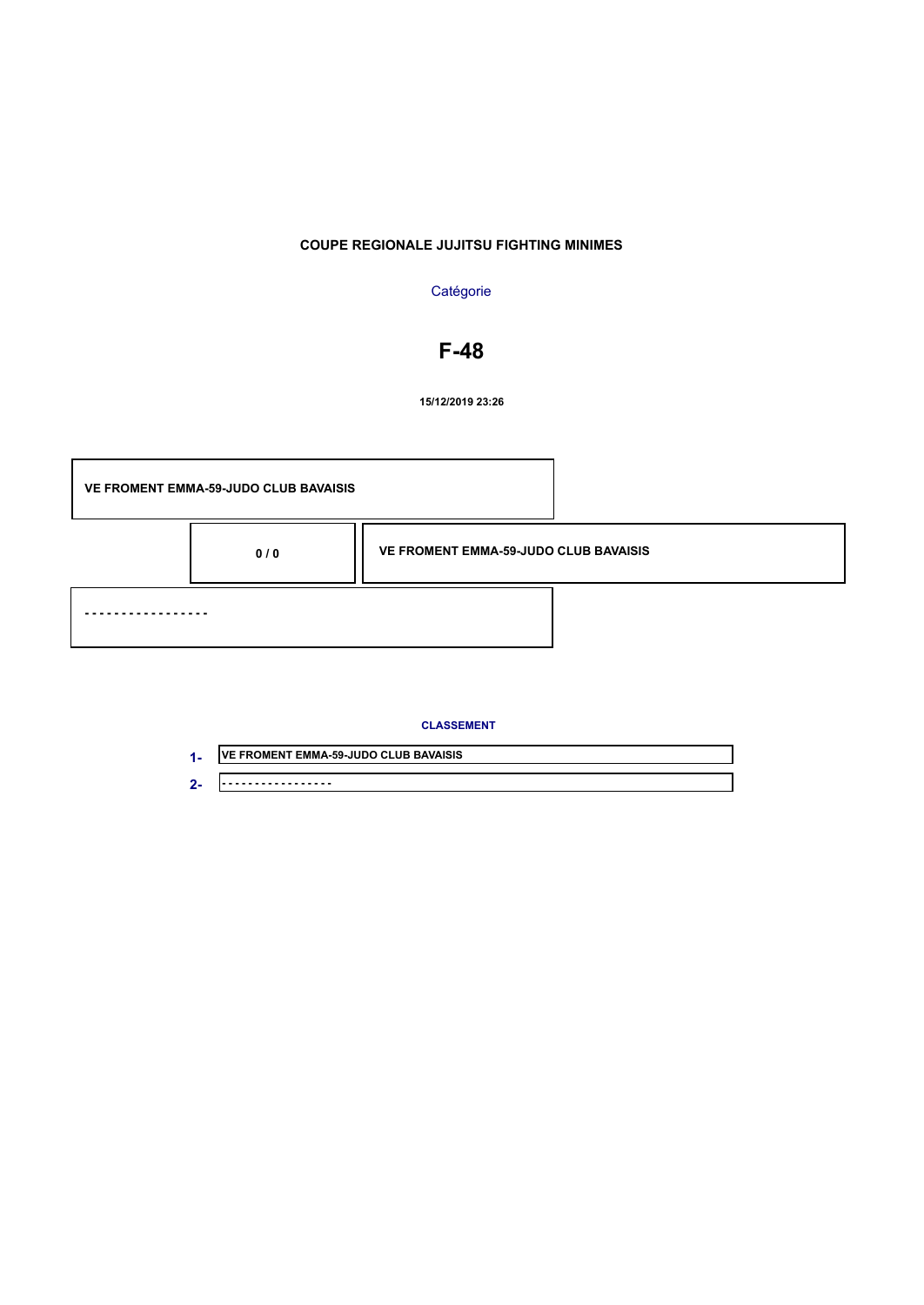## **Catégorie**

# **F-48**

**15/12/2019 23:26**



| . .        | <b>VE FROMENT EMMA-59-JUDO CLUB BAVAISIS</b> |
|------------|----------------------------------------------|
| $\sqrt{2}$ | ----                                         |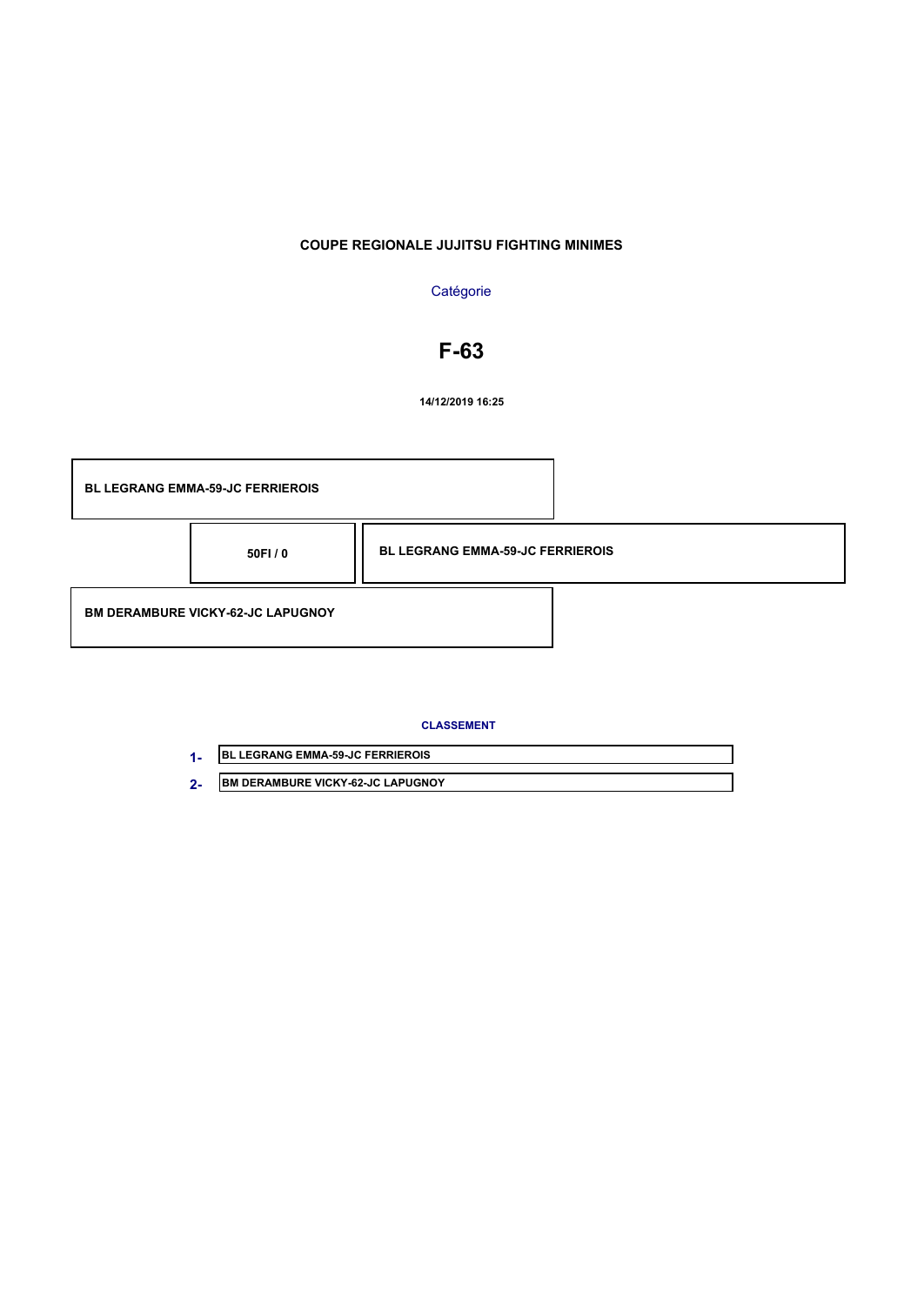## **Catégorie**

# **F-63**

**14/12/2019 16:25**



| <b>IBL LEGRANG EMMA-59-JC FERRIEROIS</b> |
|------------------------------------------|
| IBM DERAMBURE VICKY-62-JC LAPUGNOY       |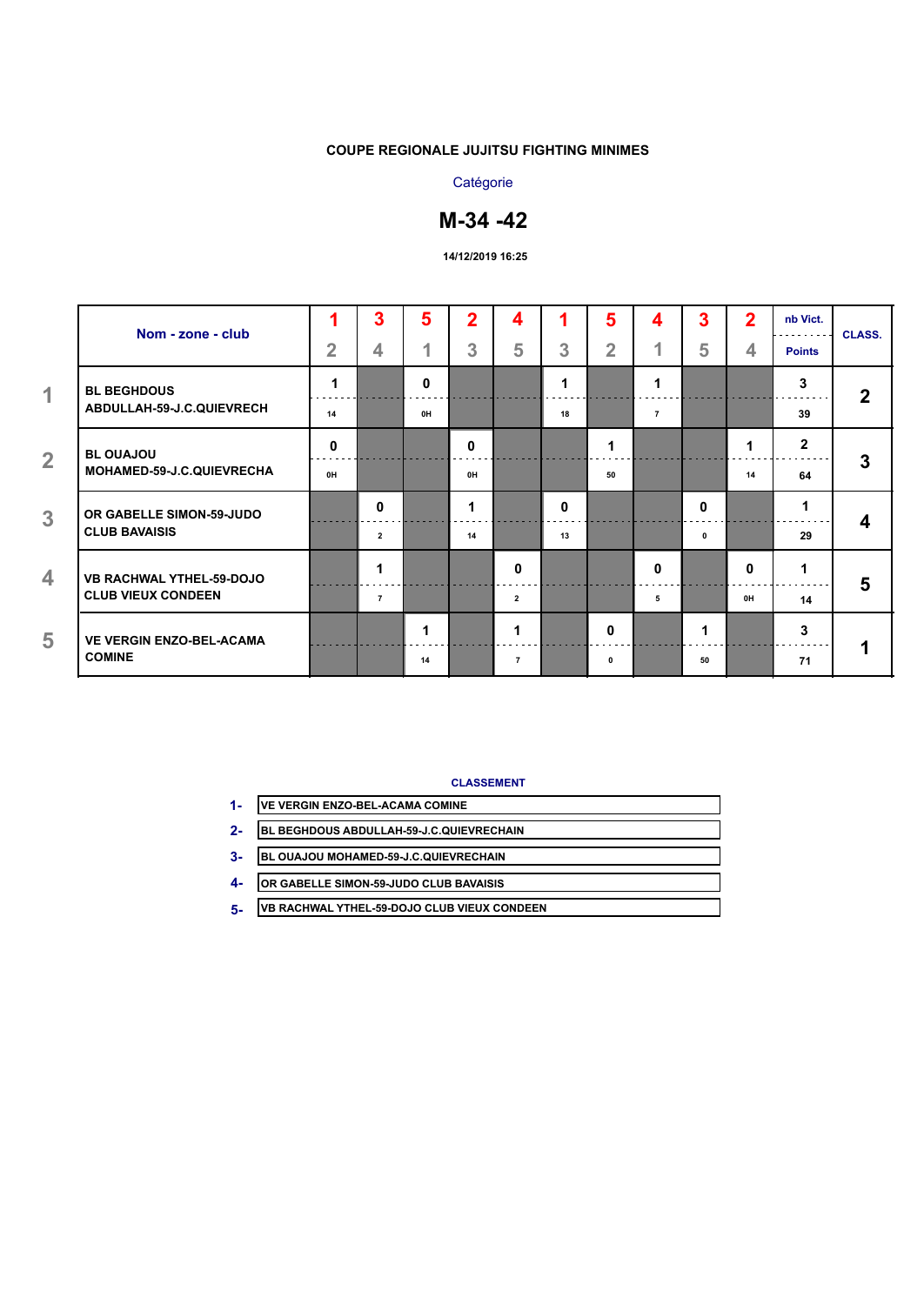## **Catégorie**

# **M-34 -42**

#### **14/12/2019 16:25**

| Nom - zone - club                               |                | 3              | 5  | $\overline{2}$ | 4              |              | 5              | 4              | 3           | $\overline{2}$ | nb Vict.<br>.  | <b>CLASS.</b> |
|-------------------------------------------------|----------------|----------------|----|----------------|----------------|--------------|----------------|----------------|-------------|----------------|----------------|---------------|
|                                                 | $\overline{2}$ | 4              |    | 3              | 5              | 3            | $\overline{2}$ | и              | 5           | 4              | <b>Points</b>  |               |
| <b>BL BEGHDOUS</b><br>ABDULLAH-59-J.C.QUIEVRECH |                |                | 0  |                |                |              |                | 1              |             |                | 3              | $\mathbf{2}$  |
|                                                 | 14             |                | 0H |                |                | 18           |                | $\overline{7}$ |             |                | 39             |               |
| <b>BL OUAJOU</b>                                | 0              |                |    | 0              |                |              |                |                |             |                | $\overline{2}$ |               |
| MOHAMED-59-J.C.QUIEVRECHA                       | 0H             |                |    | 0H             |                |              | 50             |                |             | 14             | 64             | 3             |
| OR GABELLE SIMON-59-JUDO                        |                | $\mathbf{0}$   |    |                |                | $\mathbf{0}$ |                |                | 0           |                | 1              |               |
| <b>CLUB BAVAISIS</b>                            |                | $\overline{2}$ |    | 14             |                | 13           |                |                | $\mathbf 0$ |                | 29             | 4             |
| <b>VB RACHWAL YTHEL-59-DOJO</b>                 |                | 1              |    |                | 0              |              |                | $\mathbf 0$    |             | 0              | и              |               |
| <b>CLUB VIEUX CONDEEN</b>                       |                | $\overline{7}$ |    |                | $\overline{2}$ |              |                | 5              |             | 0H             | 14             | 5             |
| <b>VE VERGIN ENZO-BEL-ACAMA</b>                 |                |                | 1  |                |                |              | $\mathbf{0}$   |                | 1           |                | 3              |               |
| <b>COMINE</b>                                   |                |                | 14 |                | $\overline{7}$ |              | 0              |                | 50          |                | 71             |               |

- **VE VERGIN ENZO-BEL-ACAMA COMINE 1-**
- **BL BEGHDOUS ABDULLAH-59-J.C.QUIEVRECHAIN 2-**
- **BL OUAJOU MOHAMED-59-J.C.QUIEVRECHAIN 3-**
- **OR GABELLE SIMON-59-JUDO CLUB BAVAISIS 4-**
- **VB RACHWAL YTHEL-59-DOJO CLUB VIEUX CONDEEN 5-**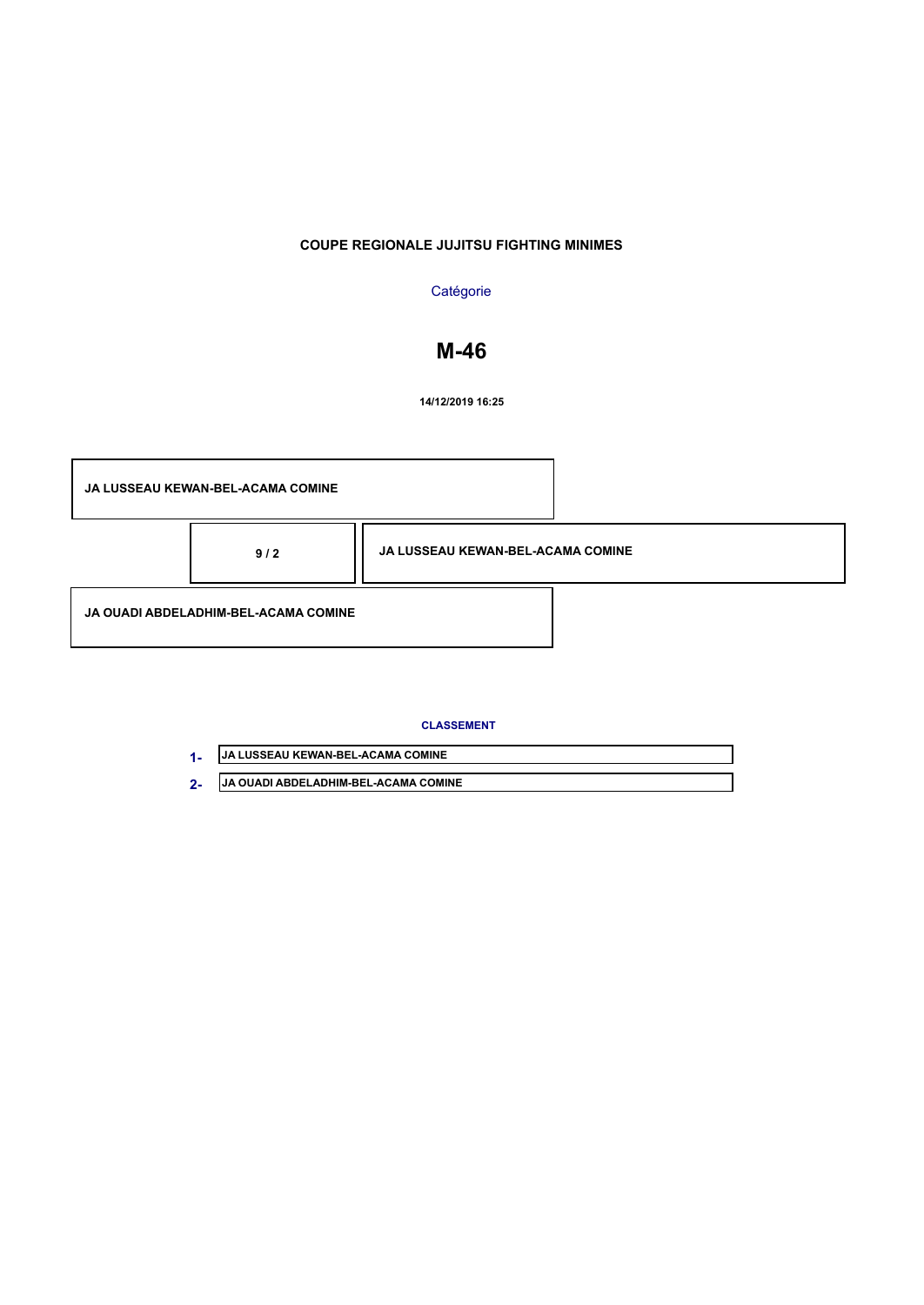## **Catégorie**

# **M-46**

**14/12/2019 16:25**



| <b>JJA LUSSEAU KEWAN-BEL-ACAMA COMINE</b>    |
|----------------------------------------------|
| <b>IJA OUADI ABDELADHIM-BEL-ACAMA COMINE</b> |